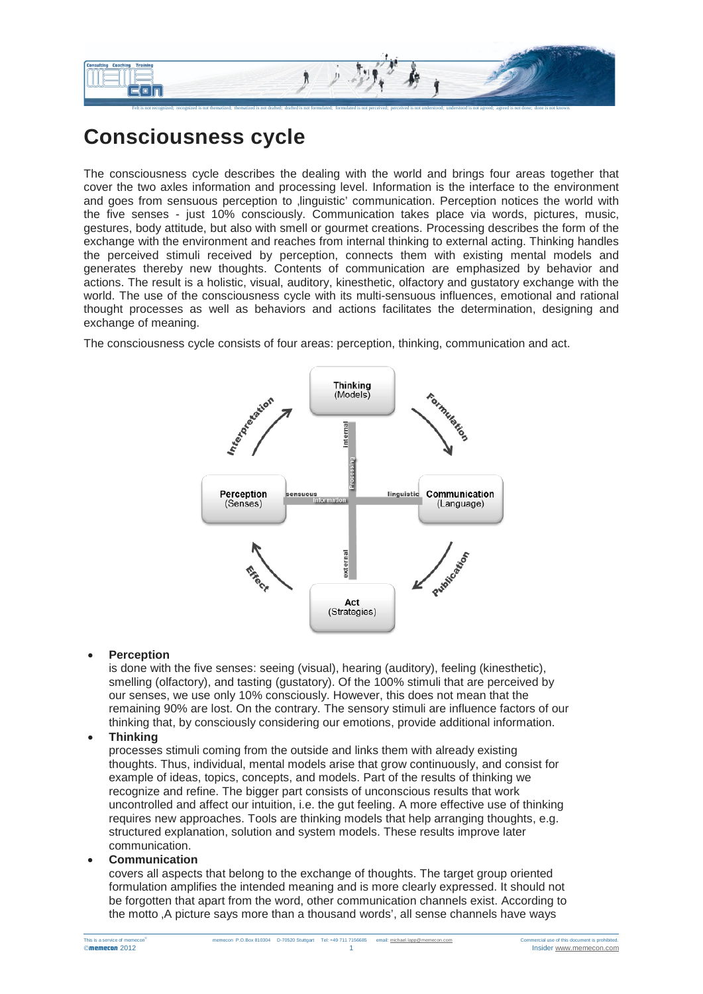

## **Consciousness cycle**

The consciousness cycle describes the dealing with the world and brings four areas together that cover the two axles information and processing level. Information is the interface to the environment and goes from sensuous perception to linguistic' communication. Perception notices the world with the five senses - just 10% consciously. Communication takes place via words, pictures, music, gestures, body attitude, but also with smell or gourmet creations. Processing describes the form of the exchange with the environment and reaches from internal thinking to external acting. Thinking handles the perceived stimuli received by perception, connects them with existing mental models and generates thereby new thoughts. Contents of communication are emphasized by behavior and actions. The result is a holistic, visual, auditory, kinesthetic, olfactory and gustatory exchange with the world. The use of the consciousness cycle with its multi-sensuous influences, emotional and rational thought processes as well as behaviors and actions facilitates the determination, designing and exchange of meaning.

The consciousness cycle consists of four areas: perception, thinking, communication and act.



## • **Perception**

is done with the five senses: seeing (visual), hearing (auditory), feeling (kinesthetic), smelling (olfactory), and tasting (gustatory). Of the 100% stimuli that are perceived by our senses, we use only 10% consciously. However, this does not mean that the remaining 90% are lost. On the contrary. The sensory stimuli are influence factors of our thinking that, by consciously considering our emotions, provide additional information.

## • **Thinking**

processes stimuli coming from the outside and links them with already existing thoughts. Thus, individual, mental models arise that grow continuously, and consist for example of ideas, topics, concepts, and models. Part of the results of thinking we recognize and refine. The bigger part consists of unconscious results that work uncontrolled and affect our intuition, i.e. the gut feeling. A more effective use of thinking requires new approaches. Tools are thinking models that help arranging thoughts, e.g. structured explanation, solution and system models. These results improve later communication.

## • **Communication**

covers all aspects that belong to the exchange of thoughts. The target group oriented formulation amplifies the intended meaning and is more clearly expressed. It should not be forgotten that apart from the word, other communication channels exist. According to the motto 'A picture says more than a thousand words', all sense channels have ways